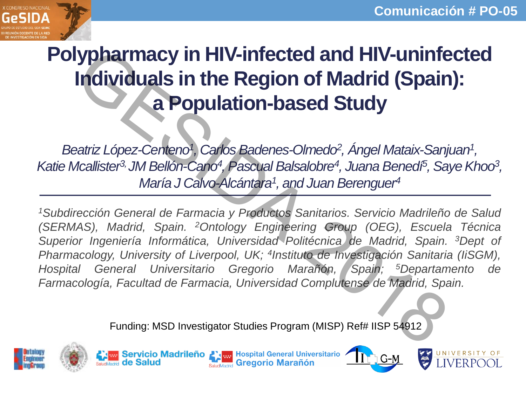

# **Polypharmacy in HIV-infected and HIV-uninfected Individuals in the Region of Madrid (Spain): a Population-based Study**

Beatriz López-Centeno<sup>1</sup>, Carlos Badenes-Olmedo<sup>2</sup>, Ángel Mataix-Sanjuan<sup>1</sup>, *Katie Mcallister3, JM Bellón-Cano<sup>4</sup> , Pascual Balsalobre<sup>4</sup> , Juana Benedí<sup>5</sup> , Saye Khoo<sup>3</sup> , María J Calvo-Alcántara<sup>1</sup> , and Juan Berenguer<sup>4</sup>*

*<sup>1</sup>Subdirección General de Farmacia y Productos Sanitarios. Servicio Madrileño de Salud (SERMAS), Madrid, Spain. <sup>2</sup>Ontology Engineering Group (OEG), Escuela Técnica Superior Ingeniería Informática, Universidad Politécnica de Madrid, Spain. <sup>3</sup>Dept of Pharmacology, University of Liverpool, UK; 4 Instituto de Investigación Sanitaria (IiSGM), Hospital General Universitario Gregorio Marañón, Spain; <sup>5</sup>Departamento de Farmacología, Facultad de Farmacia, Universidad Complutense de Madrid, Spain.* **Impliering in HIV-infected and HIV-uninferry in Hival in the Region of Madrid (Spain<br>
a Population-based Study<br>
Entistical Study<br>
Straitistic and Machines Computer of Angel Mataix-Sanj<br>
Acallister<sup>3</sup> JM Bellon-Cano<sup>4</sup>, Pa** 

Funding: MSD Investigator Studies Program (MISP) Ref# IISP 54912





**Servicio Madrileño Alam Hospital General Universitario** SaludMadrid Gregorio Marañón



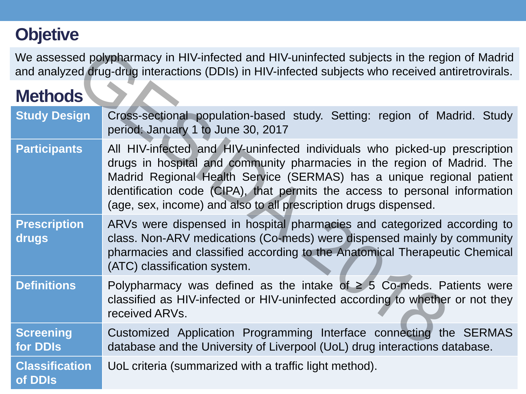## **Objetive**

## **Methods**

|                                  | We assessed polypharmacy in HIV-infected and HIV-uninfected subjects in the region of Madrid<br>and analyzed drug-drug interactions (DDIs) in HIV-infected subjects who received antiretrovirals.                                                                                                                                                                                 |
|----------------------------------|-----------------------------------------------------------------------------------------------------------------------------------------------------------------------------------------------------------------------------------------------------------------------------------------------------------------------------------------------------------------------------------|
| <b>Methods</b>                   |                                                                                                                                                                                                                                                                                                                                                                                   |
| <b>Study Design</b>              | Cross-sectional population-based study. Setting: region of Madrid. Study<br>period: January 1 to June 30, 2017                                                                                                                                                                                                                                                                    |
| <b>Participants</b>              | All HIV-infected and HIV-uninfected individuals who picked-up prescription<br>drugs in hospital and community pharmacies in the region of Madrid. The<br>Madrid Regional Health Service (SERMAS) has a unique regional patient<br>identification code (CIPA), that permits the access to personal information<br>(age, sex, income) and also to all prescription drugs dispensed. |
| <b>Prescription</b><br>drugs     | ARVs were dispensed in hospital pharmacies and categorized according to<br>class. Non-ARV medications (Co-meds) were dispensed mainly by community<br>pharmacies and classified according to the Anatomical Therapeutic Chemical<br>(ATC) classification system.                                                                                                                  |
| <b>Definitions</b>               | Polypharmacy was defined as the intake of $\geq$ 5 Co-meds. Patients were<br>classified as HIV-infected or HIV-uninfected according to whether or not they<br>received ARVs.                                                                                                                                                                                                      |
| <b>Screening</b><br>for DDIs     | Customized Application Programming Interface connecting the SERMAS<br>database and the University of Liverpool (UoL) drug interactions database.                                                                                                                                                                                                                                  |
| <b>Classification</b><br>of DDIs | UoL criteria (summarized with a traffic light method).                                                                                                                                                                                                                                                                                                                            |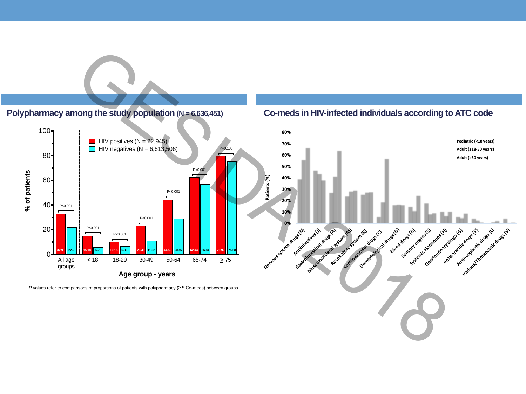#### **Polypharmacy among the study population (N = 6,636,451)**



*P* values refer to comparisons of proportions of patients with polypharmacy (≥ 5 Co-meds) between groups

#### **Co-meds in HIV-infected individuals according to ATC code**

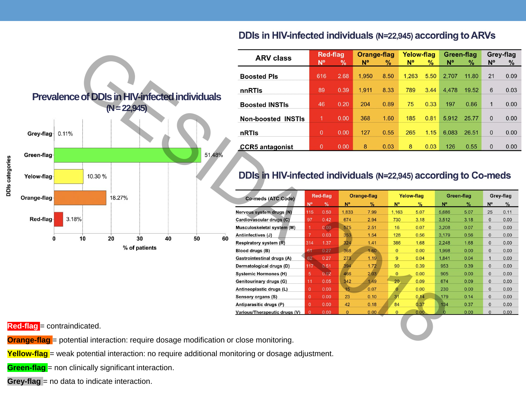

### DDIs in HIV-infected individuals (N=22,945) according to ARVs

| <b>ARV class</b>             | <b>Red-flag</b> |      | Orange-flag |      | <b>Yelow-flag</b> |               | Green-flag |               | Grey-flag   |               |
|------------------------------|-----------------|------|-------------|------|-------------------|---------------|------------|---------------|-------------|---------------|
|                              | N°              | $\%$ | $N^{\circ}$ | %    | <b>N°</b>         | $\frac{9}{6}$ | N°         | $\frac{9}{6}$ | $N^{\circ}$ | $\frac{9}{6}$ |
| <b>Boosted Pls</b>           | 616             | 2.68 | 1,950       | 8.50 | 1.263             | 5.50          | 2.707      | 11.80         | 21          | 0.09          |
| nnRTIs                       | 89              | 0.39 | 1.911       | 8.33 | 789               | 3.44          | 4.478      | 19.52         | 6           | 0.03          |
| <b>Boosted INSTIs</b>        | 46              | 0.20 | 204         | 0.89 | 75                | 0.33          | 197        | 0.86          | 1           | 0.00          |
| Non-boosted<br><b>INSTIS</b> | 1               | 0.00 | 368         | 1.60 | 185               | 0.81          | 5.912      | 25.77         | $\Omega$    | 0.00          |
| nRTIs                        | $\Omega$        | 0.00 | 127         | 0.55 | 265               | 1.15          | 6.083      | 26.51         | $\Omega$    | 0.00          |
| <b>CCR5</b> antagonist       | $\Omega$        | 0.00 | 8           | 0.03 | 8                 | 0.03          | 126        | 0.55          | $\mathbf 0$ | 0.00          |

| Co-meds (ATC Code)            | <b>Red-flag</b> |      | Orange-flag |      | <b>Yelow-flag</b> |      | Green-flag |      | Grey-flag    |      |
|-------------------------------|-----------------|------|-------------|------|-------------------|------|------------|------|--------------|------|
|                               | N°              | $\%$ | N°          | %    | N°                | %    | N°         | %    | N°           | %    |
| Nervous system drugs (N)      | 115             | 0.50 | 1,833       | 7.99 | 1,163             | 5.07 | 5,686      | 5.07 | 25           | 0.11 |
| Cardiovascular drugs (C)      | 97              | 0.42 | 674         | 2.94 | 730               | 3.18 | 3,512      | 3.18 | $\mathbf{0}$ | 0.00 |
| Musculoskeletal system (M)    | 1               | 0.00 | 575         | 2.51 | 16                | 0.07 | 3.208      | 0.07 | $\mathbf{0}$ | 0.00 |
| Antiinfectives (J)            | $\overline{7}$  | 0.03 | 353         | 1.54 | 128               | 0.56 | 3,179      | 0.56 | $\mathbf{0}$ | 0.00 |
| Respiratory system (R)        | 314             | 1.37 | 324         | 1.41 | 386               | 1.68 | 2.248      | 1.68 | $\mathbf{0}$ | 0.00 |
| Blood drugs (B)               | 61              | 0.27 | 368         | 1.60 | $\Omega$          | 0.00 | 1.998      | 0.00 | $\Omega$     | 0.00 |
| Gastrointestinal drugs (A)    | 62              | 0.27 | 273         | 1.19 | 9                 | 0.04 | 1.841      | 0.04 | $\mathbf{1}$ | 0.00 |
| Dermatological drugs (D)      | 117             | 0.51 | 394         | 1.72 | 90                | 0.39 | 953        | 0.39 | $\mathbf{0}$ | 0.00 |
| <b>Systemic Hormones (H)</b>  | 5               | 0.02 | 466         | 2.03 | $\mathbf{0}$      | 0.00 | 905        | 0.00 | $\mathbf{0}$ | 0.00 |
| Genitourinary drugs (G)       | 11              | 0.05 | 342         | 1.49 | 20                | 0.09 | 674        | 0.09 | $\mathbf{0}$ | 0.00 |
| Antineoplastic drugs (L)      | $\Omega$        | 0.00 | 15          | 0.07 | 0                 | 0.00 | 230        | 0.00 | $\Omega$     | 0.00 |
| Sensory organs (S)            | $\mathbf{0}$    | 0.00 | 23          | 0.10 | 31                | 0.14 | 179        | 0.14 | $\mathbf{0}$ | 0.00 |
| Antiparasitic drugs (P)       | $\Omega$        | 0.00 | 42          | 0.18 | 84                | 0.37 | 134        | 0.37 | $\Omega$     | 0.00 |
| Various/Therapeutic drugs (V) | $\Omega$        | 0.00 | $\Omega$    | 0.00 | $\overline{0}$    | 0.00 |            | 0.00 | $\Omega$     | 0.00 |

**Red-flag** = contraindicated.

DDIs categories

**Orange-flag** = potential interaction: require dosage modification or close monitoring.

**Yellow-flag** = weak potential interaction: no require additional monitoring or dosage adjustment.

**Green-flag** = non clinically significant interaction.

**Grey-flag** = no data to indicate interaction.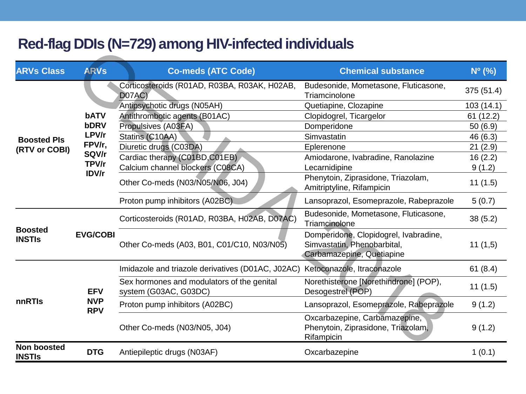## **Red-flag DDIs (N=729) among HIV-infected individuals**

| $1100$ may bbid (11-120) difformation in incolou in an incrediction |                          |                                                                     |                                                                                                   |                 |  |  |  |  |  |  |
|---------------------------------------------------------------------|--------------------------|---------------------------------------------------------------------|---------------------------------------------------------------------------------------------------|-----------------|--|--|--|--|--|--|
| <b>ARVs Class</b>                                                   | <b>ARVs</b>              | <b>Co-meds (ATC Code)</b>                                           | <b>Chemical substance</b>                                                                         | $N^{\circ}$ (%) |  |  |  |  |  |  |
|                                                                     |                          | Corticosteroids (R01AD, R03BA, R03AK, H02AB,<br>D07AC)              | Budesonide, Mometasone, Fluticasone,<br>Triamcinolone                                             | 375 (51.4)      |  |  |  |  |  |  |
|                                                                     | bATV                     | Antipsychotic drugs (N05AH)                                         | Quetiapine, Clozapine                                                                             | 103(14.1)       |  |  |  |  |  |  |
|                                                                     |                          | Antithrombotic agents (B01AC)                                       | Clopidogrel, Ticargelor                                                                           | 61(12.2)        |  |  |  |  |  |  |
| <b>Boosted PIs</b><br>(RTV or COBI)                                 | <b>bDRV</b>              | Propulsives (A03FA)                                                 | Domperidone                                                                                       | 50(6.9)         |  |  |  |  |  |  |
|                                                                     | LPV/r                    | Statins (C10AA)                                                     | Simvastatin                                                                                       | 46 (6.3)        |  |  |  |  |  |  |
|                                                                     | FPV/r,                   | Diuretic drugs (C03DA)                                              | Eplerenone                                                                                        | 21(2.9)         |  |  |  |  |  |  |
|                                                                     | SQV/r                    | Cardiac therapy (C01BD, C01EB)                                      | Amiodarone, Ivabradine, Ranolazine                                                                | 16(2.2)         |  |  |  |  |  |  |
|                                                                     | TPV/r<br>IDV/r           | Calcium channel blockers (C08CA)                                    | Lecarnidipine                                                                                     | 9(1.2)          |  |  |  |  |  |  |
|                                                                     |                          | Other Co-meds (N03/N05/N06, J04)                                    | Phenytoin, Ziprasidone, Triazolam,<br>Amitriptyline, Rifampicin                                   | 11(1.5)         |  |  |  |  |  |  |
|                                                                     |                          | Proton pump inhibitors (A02BC).                                     | Lansoprazol, Esomeprazole, Rabeprazole                                                            | 5(0.7)          |  |  |  |  |  |  |
| <b>Boosted</b><br><b>INSTIS</b>                                     |                          | Corticosteroids (R01AD, R03BA, H02AB, D07AC)                        | Budesonide, Mometasone, Fluticasone,<br>Triamcinolone                                             | 38(5.2)         |  |  |  |  |  |  |
|                                                                     | <b>EVG/COBI</b>          | Other Co-meds (A03, B01, C01/C10, N03/N05)                          | Domperidone, Clopidogrel, Ivabradine,<br>Simvastatin, Phenobarbital,<br>Carbamazepine, Quetiapine | 11(1,5)         |  |  |  |  |  |  |
|                                                                     |                          | Imidazole and triazole derivatives (D01AC, J02AC)                   | Ketoconazole, Itraconazole                                                                        | 61(8.4)         |  |  |  |  |  |  |
| nnRTIs                                                              | <b>EFV</b>               | Sex hormones and modulators of the genital<br>system (G03AC, G03DC) | Norethisterone [Norethindrone] (POP),<br>Desogestrel (POP)                                        | 11(1.5)         |  |  |  |  |  |  |
|                                                                     | <b>NVP</b><br><b>RPV</b> | Proton pump inhibitors (A02BC)                                      | Lansoprazol, Esomeprazole, Rabeprazole                                                            | 9(1.2)          |  |  |  |  |  |  |
|                                                                     |                          | Other Co-meds (N03/N05, J04)                                        | Oxcarbazepine, Carbamazepine,<br>Phenytoin, Ziprasidone, Triazolam,<br>Rifampicin                 | 9(1.2)          |  |  |  |  |  |  |
| <b>Non boosted</b><br><b>INSTIS</b>                                 | <b>DTG</b>               | Antiepileptic drugs (N03AF)                                         | Oxcarbazepine                                                                                     | 1(0.1)          |  |  |  |  |  |  |